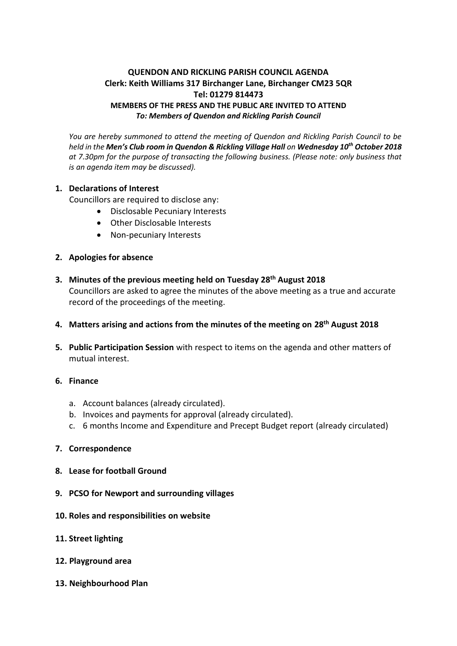# **QUENDON AND RICKLING PARISH COUNCIL AGENDA Clerk: Keith Williams 317 Birchanger Lane, Birchanger CM23 5QR Tel: 01279 814473 MEMBERS OF THE PRESS AND THE PUBLIC ARE INVITED TO ATTEND** *To: Members of Quendon and Rickling Parish Council*

*You are hereby summoned to attend the meeting of Quendon and Rickling Parish Council to be held in the Men's Club room in Quendon & Rickling Village Hall on Wednesday 10th October 2018 at 7.30pm for the purpose of transacting the following business. (Please note: only business that is an agenda item may be discussed).*

## **1. Declarations of Interest**

Councillors are required to disclose any:

- Disclosable Pecuniary Interests
- Other Disclosable Interests
- Non-pecuniary Interests

## **2. Apologies for absence**

- **3. Minutes of the previous meeting held on Tuesday 28th August 2018** Councillors are asked to agree the minutes of the above meeting as a true and accurate record of the proceedings of the meeting.
- **4. Matters arising and actions from the minutes of the meeting on 28th August 2018**
- **5. Public Participation Session** with respect to items on the agenda and other matters of mutual interest.

#### **6. Finance**

- a. Account balances (already circulated).
- b. Invoices and payments for approval (already circulated).
- c. 6 months Income and Expenditure and Precept Budget report (already circulated)

#### **7. Correspondence**

- **8. Lease for football Ground**
- **9. PCSO for Newport and surrounding villages**
- **10. Roles and responsibilities on website**
- **11. Street lighting**
- **12. Playground area**
- **13. Neighbourhood Plan**